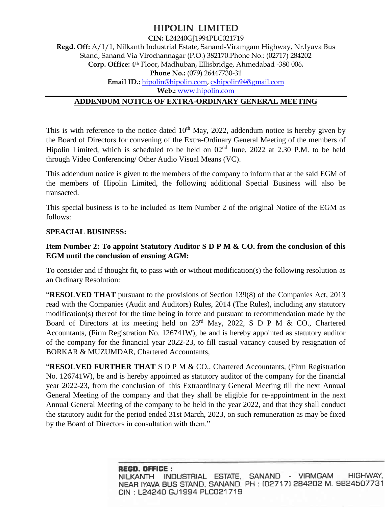# **HIPOLIN LIMITED**

**CIN:** L24240GJ1994PLC021719

**Regd. Off:** A/1/1, Nilkanth Industrial Estate, Sanand-Viramgam Highway, Nr.Iyava Bus Stand, Sanand Via Virochannagar (P.O.) 382170.Phone No.: (02717) 284202 **Corp. Office:** 4th Floor, Madhuban, Ellisbridge, Ahmedabad -380 006**. Phone No.:** (079) 26447730-31 **Email ID.:** [hipolin@hipolin.com,](mailto:hipolin@hipolin.com) [cshipolin94@gmail.com](mailto:cshipolin94@gmail.com) **Web.:** [www.hipolin.com](http://www.hipolin.com/) **ADDENDUM NOTICE OF EXTRA-ORDINARY GENERAL MEETING**

This is with reference to the notice dated  $10<sup>th</sup>$  May, 2022, addendum notice is hereby given by the Board of Directors for convening of the Extra-Ordinary General Meeting of the members of Hipolin Limited, which is scheduled to be held on  $02<sup>nd</sup>$  June, 2022 at 2.30 P.M. to be held through Video Conferencing/ Other Audio Visual Means (VC).

This addendum notice is given to the members of the company to inform that at the said EGM of the members of Hipolin Limited, the following additional Special Business will also be transacted.

This special business is to be included as Item Number 2 of the original Notice of the EGM as follows:

#### **SPEACIAL BUSINESS:**

### **Item Number 2: To appoint Statutory Auditor S D P M & CO. from the conclusion of this EGM until the conclusion of ensuing AGM:**

To consider and if thought fit, to pass with or without modification(s) the following resolution as an Ordinary Resolution:

"**RESOLVED THAT** pursuant to the provisions of Section 139(8) of the Companies Act, 2013 read with the Companies (Audit and Auditors) Rules, 2014 (The Rules), including any statutory modification(s) thereof for the time being in force and pursuant to recommendation made by the Board of Directors at its meeting held on 23<sup>rd</sup> May, 2022, S D P M & CO., Chartered Accountants, (Firm Registration No. 126741W), be and is hereby appointed as statutory auditor of the company for the financial year 2022-23, to fill casual vacancy caused by resignation of BORKAR & MUZUMDAR, Chartered Accountants,

"**RESOLVED FURTHER THAT** S D P M & CO., Chartered Accountants, (Firm Registration No. 126741W), be and is hereby appointed as statutory auditor of the company for the financial year 2022-23, from the conclusion of this Extraordinary General Meeting till the next Annual General Meeting of the company and that they shall be eligible for re-appointment in the next Annual General Meeting of the company to be held in the year 2022, and that they shall conduct the statutory audit for the period ended 31st March, 2023, on such remuneration as may be fixed by the Board of Directors in consultation with them."

> REGD. OFFICE: HIGHWAY, INDUSTRIAL ESTATE, SANAND - VIRMGAM NILKANTH NEAR IYAVA BUS STAND, SANAND. PH: (02717) 284202 M. 9824507731 CIN: L24240 GJ1994 PLC021719